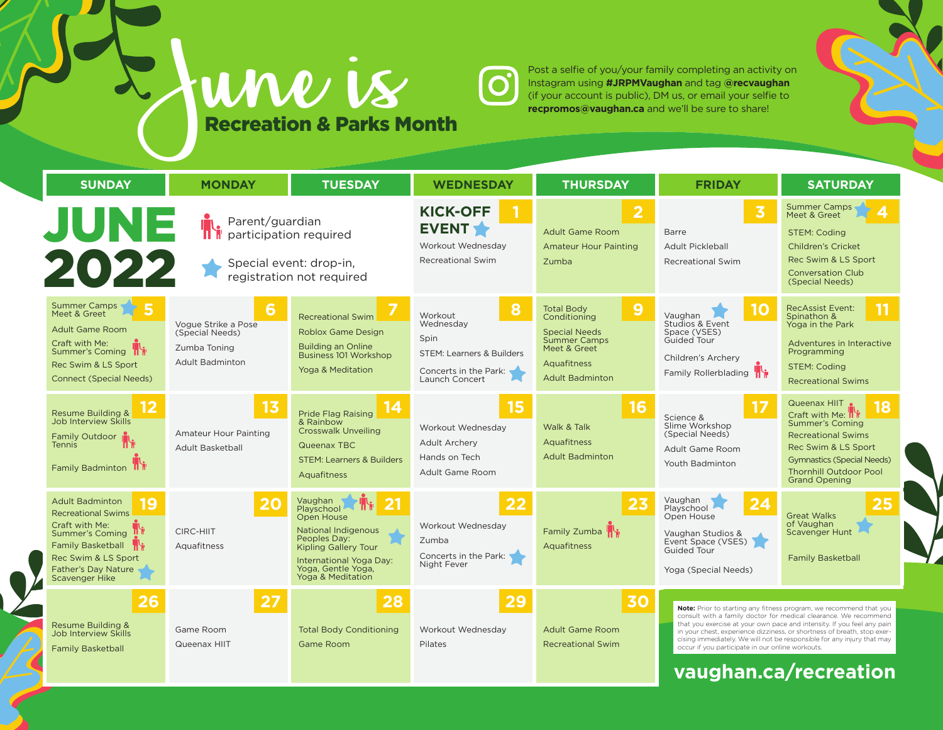June is Recreation & Parks Month

 $\boxed{\textcolor{blue}{\textbf{O}}}$ 

Post a selfie of you/your family completing an activity on Instagram using **#JRPMVaughan** and tag **@recvaughan** (if your account is public), DM us, or email your selfie to **recpromos@vaughan.ca** and we'll be sure to share!

|               | JUNE                                                                                                                                                                                                |                                                                                                   |                                                                                                                                                                                 |                                                                                                           |                                                                                                                                                |                                                                                                                                                                                                                                                                                                                                                                                                                                                    |                                                                                                                                                                                                                 |
|---------------|-----------------------------------------------------------------------------------------------------------------------------------------------------------------------------------------------------|---------------------------------------------------------------------------------------------------|---------------------------------------------------------------------------------------------------------------------------------------------------------------------------------|-----------------------------------------------------------------------------------------------------------|------------------------------------------------------------------------------------------------------------------------------------------------|----------------------------------------------------------------------------------------------------------------------------------------------------------------------------------------------------------------------------------------------------------------------------------------------------------------------------------------------------------------------------------------------------------------------------------------------------|-----------------------------------------------------------------------------------------------------------------------------------------------------------------------------------------------------------------|
|               | 2022                                                                                                                                                                                                | Parent/guardian<br>participation required<br>Special event: drop-in,<br>registration not required |                                                                                                                                                                                 | <b>KICK-OFF</b><br><b>EVENT</b><br>Workout Wednesday<br><b>Recreational Swim</b>                          | <b>Adult Game Room</b><br><b>Amateur Hour Painting</b><br>Zumba                                                                                | 3<br><b>Barre</b><br><b>Adult Pickleball</b><br><b>Recreational Swim</b>                                                                                                                                                                                                                                                                                                                                                                           | Summer Camps<br>Meet & Greet<br><b>STEM: Coding</b><br><b>Children's Cricket</b><br>Rec Swim & LS Sport<br><b>Conversation Club</b><br>(Special Needs)                                                          |
|               | <b>Summer Camps</b><br>Meet & Greet<br><b>Adult Game Room</b><br>Craft with Me:<br>Summer's Coming<br>Rec Swim & LS Sport<br><b>Connect (Special Needs)</b>                                         | 6<br>Vogue Strike a Pose<br>(Special Needs)<br>Zumba Toning<br><b>Adult Badminton</b>             | <b>Recreational Swim</b><br><b>Roblox Game Design</b><br><b>Building an Online</b><br>Business 101 Workshop<br>Yoga & Meditation                                                | 8<br>Workout<br>Wednesdav<br>Spin<br>STEM: Learners & Builders<br>Concerts in the Park:<br>Launch Concert | 9<br><b>Total Body</b><br>Conditioning<br><b>Special Needs</b><br><b>Summer Camps</b><br>Meet & Greet<br>Aquafitness<br><b>Adult Badminton</b> | 10<br>Vaughan<br>Studios & Event<br>Space (VSES)<br>Guided Tour<br>Children's Archery<br>Family Rollerblading T                                                                                                                                                                                                                                                                                                                                    | <b>RecAssist Event:</b><br>Spinathon &<br>Yoga in the Park<br>Adventures in Interactive<br>Programming<br><b>STEM: Coding</b><br><b>Recreational Swims</b>                                                      |
| <b>Tennis</b> | Resume Building &<br>Job Interview Skills<br>Family Outdoor<br>Family Badminton T                                                                                                                   | 13<br><b>Amateur Hour Painting</b><br><b>Adult Basketball</b>                                     | Pride Flag Raising<br>& Rainbow<br><b>Crosswalk Unveiling</b><br>Queenax TBC<br><b>STEM: Learners &amp; Builders</b><br>Aquafitness                                             | 15<br>Workout Wednesday<br><b>Adult Archery</b><br>Hands on Tech<br>Adult Game Room                       | 16<br>Walk & Talk<br>Aquafitness<br><b>Adult Badminton</b>                                                                                     | 17<br>Science &<br>Slime Workshop<br>(Special Needs)<br>Adult Game Room<br>Youth Badminton                                                                                                                                                                                                                                                                                                                                                         | Queenax HIIT<br>Craft with Me: II'm<br><b>Summer's Coming</b><br><b>Recreational Swims</b><br>Rec Swim & LS Sport<br><b>Gymnastics (Special Needs)</b><br><b>Thornhill Outdoor Pool</b><br><b>Grand Opening</b> |
|               | <b>Adult Badminton</b><br>10<br><b>Recreational Swims</b><br>Craft with Me:<br><b>Summer's Coming</b><br>Family Basketball T<br>Rec Swim & LS Sport<br>Father's Day Nature<br><b>Scavenger Hike</b> | CIRC-HIIT<br>Aquafitness                                                                          | Vaughan<br>Playschool<br>Open House<br>National Indigenous<br>Peoples Day:<br><b>Kipling Gallery Tour</b><br>International Yoga Day:<br>Yoga, Gentle Yoga,<br>Yoga & Meditation | Workout Wednesday<br>Zumba<br>Concerts in the Park:<br>Night Fever                                        | 23<br>Family Zumba<br>Aquafitness                                                                                                              | Vaughan<br>Playschool<br>Open House<br>Vaughan Studios &<br>Event Space (VSES)<br><b>Guided Tour</b><br>Yoga (Special Needs)                                                                                                                                                                                                                                                                                                                       | <b>Great Walks</b><br>of Vaughan<br><b>Scavenger Hunt</b><br><b>Family Basketball</b>                                                                                                                           |
|               | 26<br>Resume Building &<br>Job Interview Skills<br><b>Family Basketball</b>                                                                                                                         | 27<br>Game Room<br>Queenax HIIT                                                                   | 28<br><b>Total Body Conditioning</b><br><b>Game Room</b>                                                                                                                        | Workout Wednesday<br>Pilates                                                                              | 30<br><b>Adult Game Room</b><br><b>Recreational Swim</b>                                                                                       | Note: Prior to starting any fitness program, we recommend that you<br>consult with a family doctor for medical clearance. We recommend<br>that you exercise at your own pace and intensity. If you feel any pain<br>in your chest, experience dizziness, or shortness of breath, stop exer-<br>cising immediately. We will not be responsible for any injury that may<br>occur if you participate in our online workouts.<br>vaughan.ca/recreation |                                                                                                                                                                                                                 |